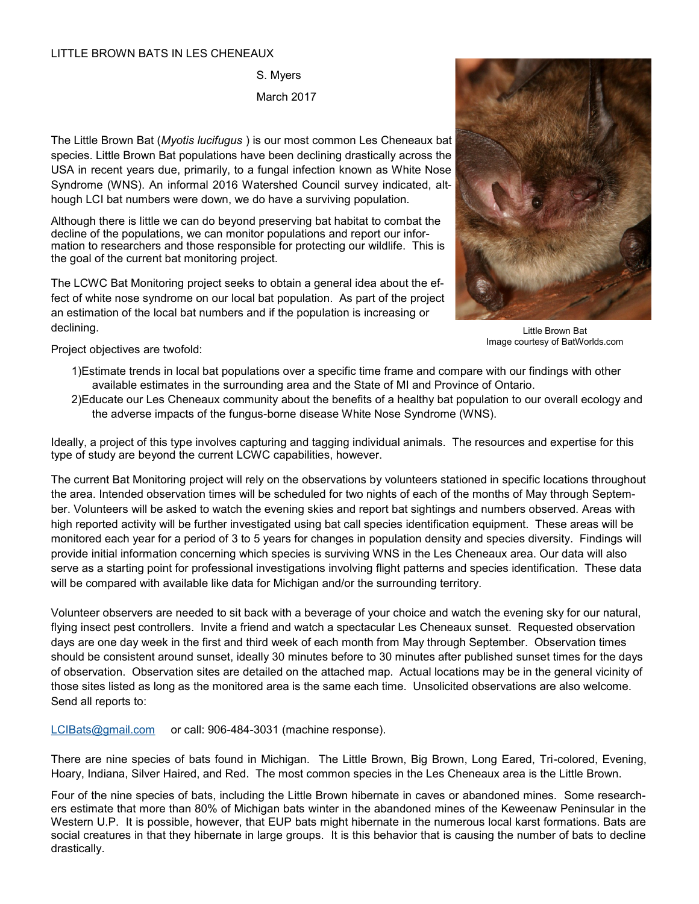## LITTLE BROWN BATS IN LES CHENEAUX

S. Myers March 2017

The Little Brown Bat (*Myotis lucifugus* ) is our most common Les Cheneaux bat species. Little Brown Bat populations have been declining drastically across the USA in recent years due, primarily, to a fungal infection known as White Nose Syndrome (WNS). An informal 2016 Watershed Council survey indicated, although LCI bat numbers were down, we do have a surviving population.

Although there is little we can do beyond preserving bat habitat to combat the decline of the populations, we can monitor populations and report our information to researchers and those responsible for protecting our wildlife. This is the goal of the current bat monitoring project.

The LCWC Bat Monitoring project seeks to obtain a general idea about the effect of white nose syndrome on our local bat population. As part of the project an estimation of the local bat numbers and if the population is increasing or declining.



Little Brown Bat Image courtesy of BatWorlds.com

Project objectives are twofold:

- 1)Estimate trends in local bat populations over a specific time frame and compare with our findings with other available estimates in the surrounding area and the State of MI and Province of Ontario.
- 2)Educate our Les Cheneaux community about the benefits of a healthy bat population to our overall ecology and the adverse impacts of the fungus-borne disease White Nose Syndrome (WNS).

Ideally, a project of this type involves capturing and tagging individual animals. The resources and expertise for this type of study are beyond the current LCWC capabilities, however.

The current Bat Monitoring project will rely on the observations by volunteers stationed in specific locations throughout the area. Intended observation times will be scheduled for two nights of each of the months of May through September. Volunteers will be asked to watch the evening skies and report bat sightings and numbers observed. Areas with high reported activity will be further investigated using bat call species identification equipment. These areas will be monitored each year for a period of 3 to 5 years for changes in population density and species diversity. Findings will provide initial information concerning which species is surviving WNS in the Les Cheneaux area. Our data will also serve as a starting point for professional investigations involving flight patterns and species identification. These data will be compared with available like data for Michigan and/or the surrounding territory.

Volunteer observers are needed to sit back with a beverage of your choice and watch the evening sky for our natural, flying insect pest controllers. Invite a friend and watch a spectacular Les Cheneaux sunset. Requested observation days are one day week in the first and third week of each month from May through September. Observation times should be consistent around sunset, ideally 30 minutes before to 30 minutes after published sunset times for the days of observation. Observation sites are detailed on the attached map. Actual locations may be in the general vicinity of those sites listed as long as the monitored area is the same each time. Unsolicited observations are also welcome. Send all reports to:

[LCIBats@gmail.com](mailto:LCIBats@gmail.com) or call: 906-484-3031 (machine response).

There are nine species of bats found in Michigan. The Little Brown, Big Brown, Long Eared, Tri-colored, Evening, Hoary, Indiana, Silver Haired, and Red. The most common species in the Les Cheneaux area is the Little Brown.

Four of the nine species of bats, including the Little Brown hibernate in caves or abandoned mines. Some researchers estimate that more than 80% of Michigan bats winter in the abandoned mines of the Keweenaw Peninsular in the Western U.P. It is possible, however, that EUP bats might hibernate in the numerous local karst formations. Bats are social creatures in that they hibernate in large groups. It is this behavior that is causing the number of bats to decline drastically.